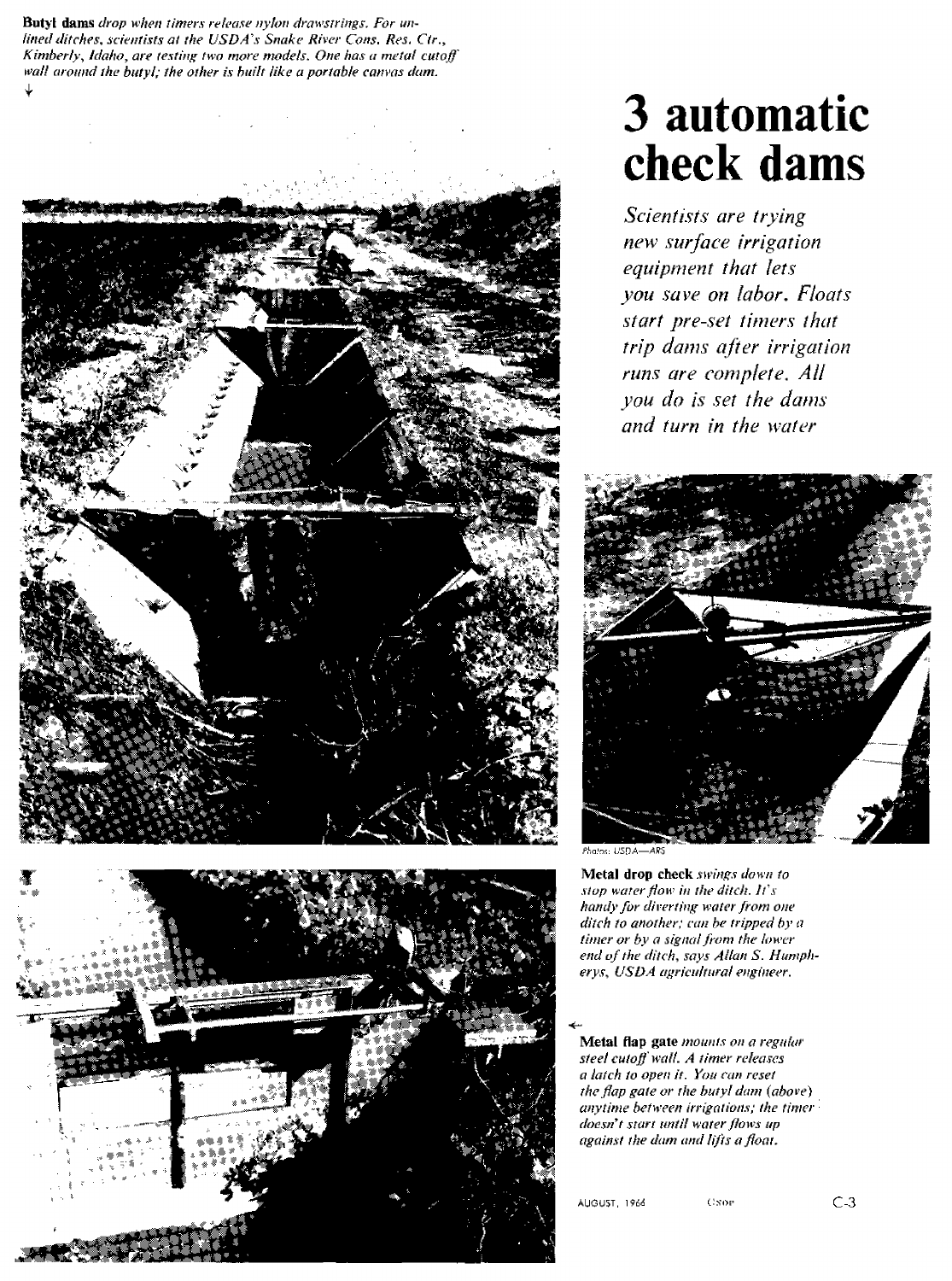4, **Butyl dams** *drop when timers release nylon drawstrings. For unlined ditches, scientists at the USDA's Snake River Cons. Res. Cir., Kimberly, Idaho, are testing two more models. One has a metal cutoff wall around the butyl; the other is built like a portable canvas dam.*





## **3 automatic check dams**

*Scientists are trying new surface irrigation equipment that lets you save on labor. Floats start pre-set timers that trip dams after irrigation runs are complete. All you do is set the dams and turn in the water*



Phalos: USDA-ARS

**Metal drop check** *swings down to stop water flow in the ditch. Its handy for diverting water from one ditch to another; can he tripped by' a timer or by a signal from the lower end of the ditch, says Allan S. Humpherys, USDA agricultural engineer.*

**Metal flap gate** *mounts on a regular steel cutoff wall. A timer releases a latch to open it. You can reset the flap gate or the butyl dam (above) anytime between irrigations; the timer • doesn't start until water flows up against the dam and lifts afloat.*

AUGUST, 1966 C1NOP C1NIC-3

 $\overline{\phantom{0}}$